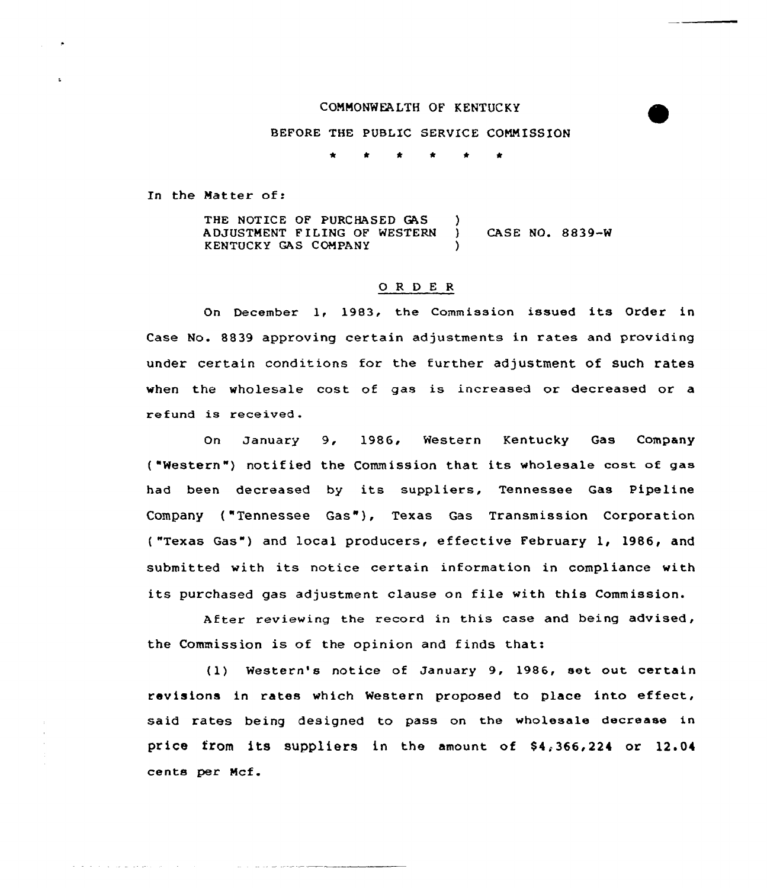#### COMMONWEALTH OF KENTUCKY

### BEFORE THE PUBLIC SERVICE COMMISSION

In the Matter of:

and a state of the state and an

THE NOTICE OF PURCHASED GAS ADJUSTMENT FILING OF WESTERN KENTUCKY GAS COMPANY  $\left\{ \right\}$ } CASE NO. 8839-W )

## 0 <sup>R</sup> <sup>D</sup> <sup>E</sup> <sup>R</sup>

On December 1, 1983, the Commission issued its Order in Case No. 8839 approving certain adjustments in rates and providing under certain conditions for the further adjustment of such rates when the wholesale cost of gas is increased or decreased or a refund is received.

On January 9, 1986, Western Kentucky Gas Company ("Western") notified the Commission that its wholesale cost of gas had been decreased by its suppliers, Tennessee Gas Pipeline Company ("Tennessee Gas"j, Texas Gas Transmission Corporation ( "Texas Gas") and local producers, effective February 1, 1986, and submitted with its notice certain information in compliance with its purchased gas adjustment clause on file with this Commission.

After reviewing the record in this case and being advised, the Commission is of the opinion and finds that:

(1) Western's notice of January 9, 1986, set out certain revisions in rates which Western proposed to place into effect, said rates being designed to pass on the wholesale decrease in price from its suppliers in the amount of  $$4,366,224$  or  $12.04$ cents per Mcf.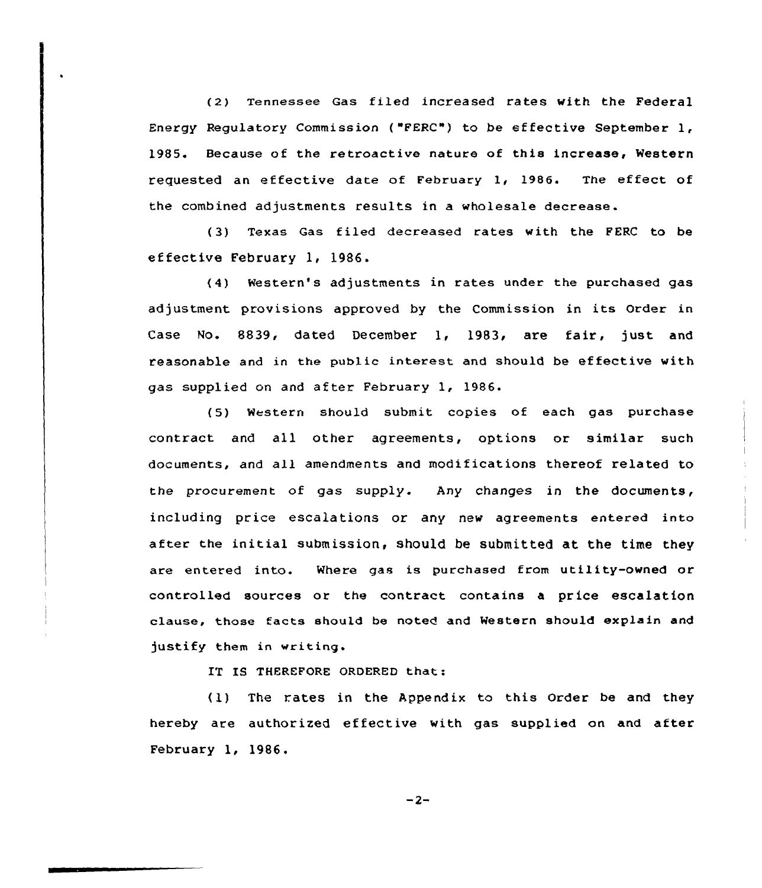(2) Tennessee Gas filed increased rates with the Federal Energy Regulatory Commission {"FERC") to be ef fective September 1, 1985. Because of the retroactive nature of this increase, Western requested an effective date of February 1, 1986. The effect of the combined adjustments results in a wholesale decrease.

( 3) Texas Gas filed decreased rates with the FERC to be ef fective February 1, 1986.

(4) Western's adjustments in rates under the purchased gas adjustment provisions approved by the Commission in its Order in Case No. 8839< dated December 1< 1983, are fair, just and reasonable and in the public interest and should be effective with gas supplied on and after February 1, 1986.

(5) Western should submit copies of each gas purchase contract and all other agreements, options or similar such documents, and all amendments and modifications thereof related to the procurement of gas supply. Any changes in the documents, including price escalations or any new agreements entered into after the initial submission, should be submitted at the time they are entered into. Where gas is purchased from utility-owned or controlled sources or the contract contains a price escalation clause, those facts should be noted and Western should explain and justify them in writing.

IT IS THEREFORE ORDERED that:

(1) The rates in the Appendix to this Order be and they hereby are authorized effective with gas supplied on and after February 1, 1986.

$$
-2-
$$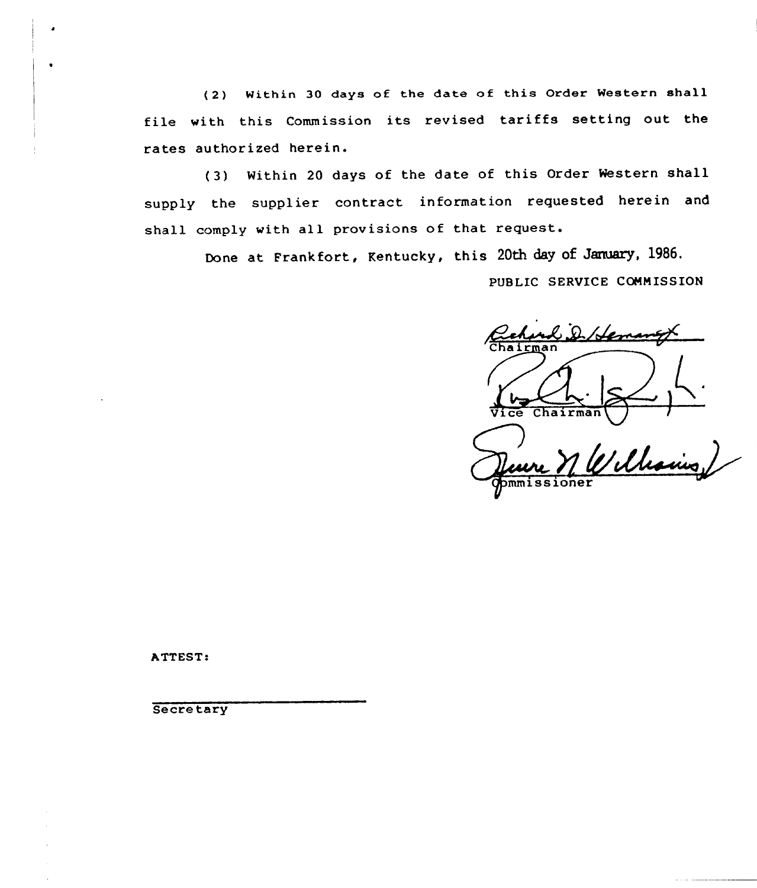(2) Within 30 days of the date of this Order Western shall file with this Commission its revised tariffs setting out the rates authorized herein.

(3) Within <sup>20</sup> days of the date of this Order Western shall supply the supplier contract information requested herein and shall comply with all provisions of that request.

> Done at Frankfort, Kentucky, this 20th day of January, 1986. PUBLIC SERVICE COMMISSION

C.D. Herman Chairman  $y$  il leave

ATTEST:

**Secretary**